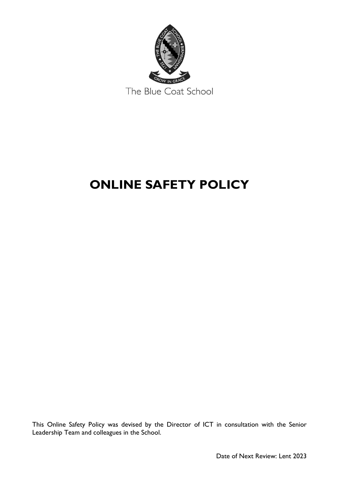

# **ONLINE SAFETY POLICY**

This Online Safety Policy was devised by the Director of ICT in consultation with the Senior Leadership Team and colleagues in the School.

Date of Next Review: Lent 2023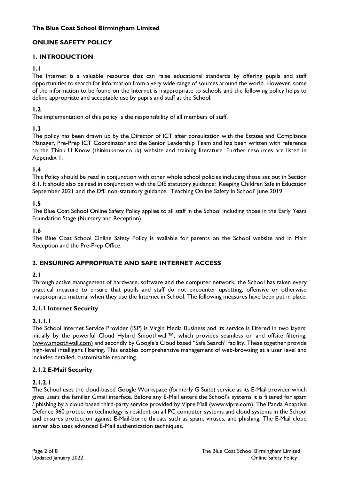# **ONLINE SAFETY POLICY**

# **1. INTRODUCTION**

#### **1.1**

The Internet is a valuable resource that can raise educational standards by offering pupils and staff opportunities to search for information from a very wide range of sources around the world. However, some of the information to be found on the Internet is inappropriate to schools and the following policy helps to define appropriate and acceptable use by pupils and staff at the School.

## **1.2**

The implementation of this policy is the responsibility of all members of staff.

# **1.3**

The policy has been drawn up by the Director of ICT after consultation with the Estates and Compliance Manager, Pre-Prep ICT Coordinator and the Senior Leadership Team and has been written with reference to the Think U Know (thinkuknow.co.uk) website and training literature. Further resources are listed in Appendix 1.

## **1.4**

This Policy should be read in conjunction with other whole school policies including those set out in Section 8.1. It should also be read in conjunction with the DfE statutory guidance: Keeping Children Safe in Education September 2021 and the DfE non-statutory guidance, 'Teaching Online Safety in School' June 2019.

#### **1.5**

The Blue Coat School Online Safety Policy applies to all staff in the School including those in the Early Years Foundation Stage (Nursery and Reception).

#### **1.6**

The Blue Coat School Online Safety Policy is available for parents on the School website and in Main Reception and the Pre-Prep Office.

## **2. ENSURING APPROPRIATE AND SAFE INTERNET ACCESS**

#### **2.1**

Through active management of hardware, software and the computer network, the School has taken every practical measure to ensure that pupils and staff do not encounter upsetting, offensive or otherwise inappropriate material when they use the Internet in School. The following measures have been put in place:

#### **2.1.1 Internet Security**

## **2.1.1.1**

The School Internet Service Provider (ISP) is Virgin Media Business and its service is filtered in two layers: initially by the powerful Cloud Hybrid Smoothwall™, which provides seamless on and offsite filtering, [\(www.smoothwall.com\)](http://www.smoothwall.com)/) and secondly by Google's Cloud based "Safe Search" facility. These together provide high-level intelligent filtering. This enables comprehensive management of web-browsing at a user level and includes detailed, customisable reporting.

## **2.1.2 E-Mail Security**

## **2.1.2.1**

The School uses the cloud-based Google Workspace (formerly G Suite) service as its E-Mail provider which gives users the familiar Gmail interface. Before any E-Mail enters the School's systems it is filtered for spam / phishing by a cloud based third-party service provided by Vipre Mail (www.vipre.com). The Panda Adaptive Defence 360 protection technology is resident on all PC computer systems and cloud systems in the School and ensures protection against E-Mail-borne threats such as spam, viruses, and phishing. The E-Mail cloud server also uses advanced E-Mail authentication techniques.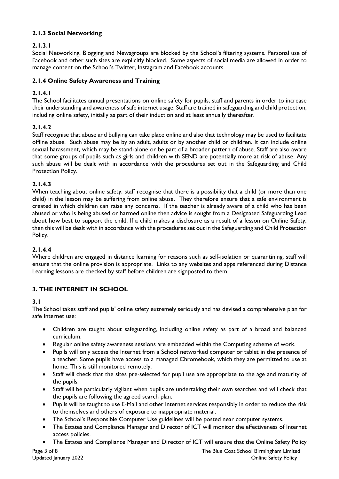## **2.1.3 Social Networking**

# **2.1.3.1**

Social Networking, Blogging and Newsgroups are blocked by the School's filtering systems. Personal use of Facebook and other such sites are explicitly blocked. Some aspects of social media are allowed in order to manage content on the School's Twitter, Instagram and Facebook accounts.

# **2.1.4 Online Safety Awareness and Training**

# **2.1.4.1**

The School facilitates annual presentations on online safety for pupils, staff and parents in order to increase their understanding and awareness of safe internet usage. Staff are trained in safeguarding and child protection, including online safety, initially as part of their induction and at least annually thereafter.

# **2.1.4.2**

Staff recognise that abuse and bullying can take place online and also that technology may be used to facilitate offline abuse. Such abuse may be by an adult, adults or by another child or children. It can include online sexual harassment, which may be stand-alone or be part of a broader pattern of abuse. Staff are also aware that some groups of pupils such as girls and children with SEND are potentially more at risk of abuse. Any such abuse will be dealt with in accordance with the procedures set out in the Safeguarding and Child Protection Policy.

## **2.1.4.3**

When teaching about online safety, staff recognise that there is a possibility that a child (or more than one child) in the lesson may be suffering from online abuse. They therefore ensure that a safe environment is created in which children can raise any concerns. If the teacher is already aware of a child who has been abused or who is being abused or harmed online then advice is sought from a Designated Safeguarding Lead about how best to support the child. If a child makes a disclosure as a result of a lesson on Online Safety, then this will be dealt with in accordance with the procedures set out in the Safeguarding and Child Protection Policy.

## **2.1.4.4**

Where children are engaged in distance learning for reasons such as self-isolation or quarantining, staff will ensure that the online provision is appropriate. Links to any websites and apps referenced during Distance Learning lessons are checked by staff before children are signposted to them.

# **3. THE INTERNET IN SCHOOL**

## **3.1**

The School takes staff and pupils' online safety extremely seriously and has devised a comprehensive plan for safe Internet use:

- Children are taught about safeguarding, including online safety as part of a broad and balanced curriculum.
- Regular online safety awareness sessions are embedded within the Computing scheme of work.
- Pupils will only access the Internet from a School networked computer or tablet in the presence of a teacher. Some pupils have access to a managed Chromebook, which they are permitted to use at home. This is still monitored remotely.
- Staff will check that the sites pre-selected for pupil use are appropriate to the age and maturity of the pupils.
- Staff will be particularly vigilant when pupils are undertaking their own searches and will check that the pupils are following the agreed search plan.
- Pupils will be taught to use E-Mail and other Internet services responsibly in order to reduce the risk to themselves and others of exposure to inappropriate material.
- The School's Responsible Computer Use guidelines will be posted near computer systems.
- The Estates and Compliance Manager and Director of ICT will monitor the effectiveness of Internet access policies.
- The Estates and Compliance Manager and Director of ICT will ensure that the Online Safety Policy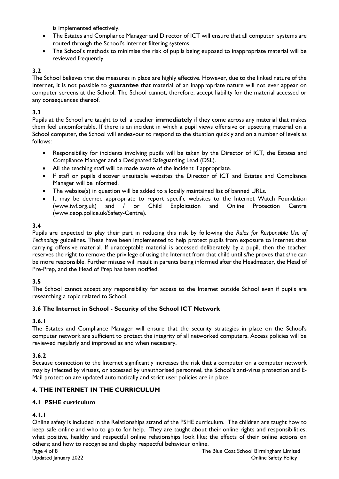is implemented effectively.

- The Estates and Compliance Manager and Director of ICT will ensure that all computer systems are routed through the School's Internet filtering systems.
- The School's methods to minimise the risk of pupils being exposed to inappropriate material will be reviewed frequently.

## **3.2**

The School believes that the measures in place are highly effective. However, due to the linked nature of the Internet, it is not possible to **guarantee** that material of an inappropriate nature will not ever appear on computer screens at the School. The School cannot, therefore, accept liability for the material accessed or any consequences thereof.

#### **3.3**

Pupils at the School are taught to tell a teacher **immediately** if they come across any material that makes them feel uncomfortable. If there is an incident in which a pupil views offensive or upsetting material on a School computer, the School will endeavour to respond to the situation quickly and on a number of levels as follows:

- Responsibility for incidents involving pupils will be taken by the Director of ICT, the Estates and Compliance Manager and a Designated Safeguarding Lead (DSL).
- All the teaching staff will be made aware of the incident if appropriate.
- If staff or pupils discover unsuitable websites the Director of ICT and Estates and Compliance Manager will be informed.
- The website(s) in question will be added to a locally maintained list of banned URLs.
- It may be deemed appropriate to report specific websites to the Internet Watch Foundation<br>(www.iwf.org.uk) and / or Child Exploitation and Online Protection Centre  $(www.iwf.org.uk)$  and  $/$  or Child Exploitation and Online (www.ceop.police.uk/Safety-Centre).

## **3.4**

Pupils are expected to play their part in reducing this risk by following the *Rules for Responsible Use of Technology* guidelines. These have been implemented to help protect pupils from exposure to Internet sites carrying offensive material. If unacceptable material is accessed deliberately by a pupil, then the teacher reserves the right to remove the privilege of using the Internet from that child until s/he proves that s/he can be more responsible. Further misuse will result in parents being informed after the Headmaster, the Head of Pre-Prep, and the Head of Prep has been notified.

## **3.5**

The School cannot accept any responsibility for access to the Internet outside School even if pupils are researching a topic related to School.

#### **3.6 The Internet in School - Security of the School ICT Network**

#### **3.6.1**

The Estates and Compliance Manager will ensure that the security strategies in place on the School's computer network are sufficient to protect the integrity of all networked computers. Access policies will be reviewed regularly and improved as and when necessary.

## **3.6.2**

Because connection to the Internet significantly increases the risk that a computer on a computer network may by infected by viruses, or accessed by unauthorised personnel, the School's anti-virus protection and E-Mail protection are updated automatically and strict user policies are in place.

## **4. THE INTERNET IN THE CURRICULUM**

#### **4.1 PSHE curriculum**

## **4.1.1**

Online safety is included in the Relationships strand of the PSHE curriculum. The children are taught how to keep safe online and who to go to for help. They are taught about their online rights and responsibilities; what positive, healthy and respectful online relationships look like; the effects of their online actions on others; and how to recognise and display respectful behaviour online.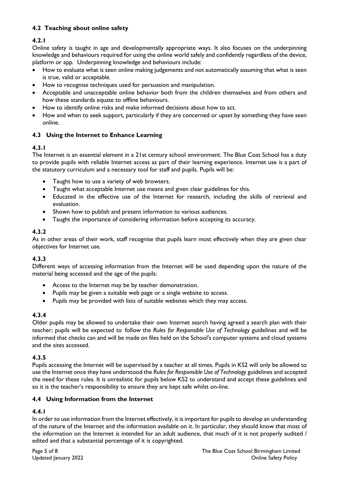# **4.2 Teaching about online safety**

# **4.2.1**

Online safety is taught in age and developmentally appropriate ways. It also focuses on the underpinning knowledge and behaviours required for using the online world safely and confidently regardless of the device, platform or app. Underpinning knowledge and behaviours include:

- How to evaluate what is seen online making judgements and not automatically assuming that what is seen is true, valid or acceptable.
- How to recognise techniques used for persuasion and manipulation.
- Acceptable and unacceptable online behavior both from the children themselves and from others and how these standards equate to offline behaviours.
- How to identify online risks and make informed decisions about how to act.
- How and when to seek support, particularly if they are concerned or upset by something they have seen online.

## **4.3 Using the Internet to Enhance Learning**

## **4.3.1**

The Internet is an essential element in a 21st century school environment. The Blue Coat School has a duty to provide pupils with reliable Internet access as part of their learning experience. Internet use is a part of the statutory curriculum and a necessary tool for staff and pupils. Pupils will be:

- Taught how to use a variety of web browsers.
- Taught what acceptable Internet use means and given clear guidelines for this.
- Educated in the effective use of the Internet for research, including the skills of retrieval and evaluation.
- Shown how to publish and present information to various audiences.
- Taught the importance of considering information before accepting its accuracy.

## **4.3.2**

As in other areas of their work, staff recognise that pupils learn most effectively when they are given clear objectives for Internet use.

## **4.3.3**

Different ways of accessing information from the Internet will be used depending upon the nature of the material being accessed and the age of the pupils:

- Access to the Internet may be by teacher demonstration.
- Pupils may be given a suitable web page or a single website to access.
- Pupils may be provided with lists of suitable websites which they may access.

## **4.3.4**

Older pupils may be allowed to undertake their own Internet search having agreed a search plan with their teacher; pupils will be expected to follow the *Rules for Responsible Use of Technology* guidelines and will be informed that checks can and will be made on files held on the School's computer systems and cloud systems and the sites accessed.

## **4.3.5**

Pupils accessing the Internet will be supervised by a teacher at all times. Pupils in KS2 will only be allowed to use the Internet once they have understood the *Rules for Responsible Use of Technology* guidelines and accepted the need for these rules. It is unrealistic for pupils below KS2 to understand and accept these guidelines and so it is the teacher's responsibility to ensure they are kept safe whilst on-line.

#### **4.4 Using Information from the Internet**

# **4.4.1**

In order to use information from the Internet effectively, it is important for pupils to develop an understanding of the nature of the Internet and the information available on it. In particular, they should know that most of the information on the Internet is intended for an adult audience, that much of it is not properly audited / edited and that a substantial percentage of it is copyrighted.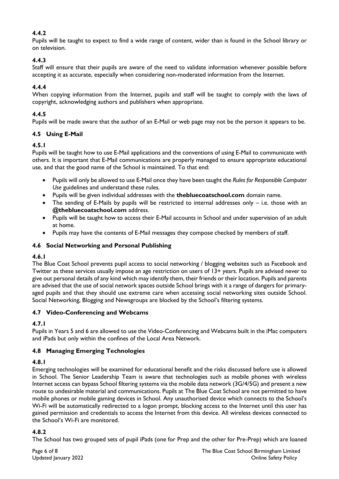# **4.4.2**

Pupils will be taught to expect to find a wide range of content, wider than is found in the School library or on television.

# **4.4.3**

Staff will ensure that their pupils are aware of the need to validate information whenever possible before accepting it as accurate, especially when considering non-moderated information from the Internet.

#### **4.4.4**

When copying information from the Internet, pupils and staff will be taught to comply with the laws of copyright, acknowledging authors and publishers when appropriate.

#### **4.4.5**

Pupils will be made aware that the author of an E-Mail or web page may not be the person it appears to be.

## **4.5 Using E-Mail**

#### **4.5.1**

Pupils will be taught how to use E-Mail applications and the conventions of using E-Mail to communicate with others. It is important that E-Mail communications are properly managed to ensure appropriate educational use, and that the good name of the School is maintained. To that end:

- Pupils will only be allowed to use E-Mail once they have been taught the *Rules for Responsible Computer Use* guidelines and understand these rules.
- Pupils will be given individual addresses with the **thebluecoatschool.com** domain name.
- The sending of E-Mails by pupils will be restricted to internal addresses only i.e. those with an **@thebluecoatschool.com** address.
- Pupils will be taught how to access their E-Mail accounts in School and under supervision of an adult at home.
- Pupils may have the contents of E-Mail messages they compose checked by members of staff.

## **4.6 Social Networking and Personal Publishing**

#### **4.6.1**

The Blue Coat School prevents pupil access to social networking / blogging websites such as Facebook and Twitter as these services usually impose an age restriction on users of 13+ years. Pupils are advised never to give out personal details of any kind which may identify them, their friends or their location. Pupils and parents are advised that the use of social network spaces outside School brings with it a range of dangers for primaryaged pupils and that they should use extreme care when accessing social networking sites outside School. Social Networking, Blogging and Newsgroups are blocked by the School's filtering systems.

#### **4.7 Video-Conferencing and Webcams**

## **4.7.1**

Pupils in Years 5 and 6 are allowed to use the Video-Conferencing and Webcams built in the iMac computers and iPads but only within the confines of the Local Area Network.

## **4.8 Managing Emerging Technologies**

#### **4.8.1**

Emerging technologies will be examined for educational benefit and the risks discussed before use is allowed in School. The Senior Leadership Team is aware that technologies such as mobile phones with wireless Internet access can bypass School filtering systems via the mobile data network (3G/4/5G) and present a new route to undesirable material and communications. Pupils at The Blue Coat School are not permitted to have mobile phones or mobile gaming devices in School. Any unauthorised device which connects to the School's Wi-Fi will be automatically redirected to a logon prompt, blocking access to the Internet until this user has gained permission and credentials to access the Internet from this device. All wireless devices connected to the School's Wi-Fi are monitored.

## **4.8.2**

The School has two grouped sets of pupil iPads (one for Prep and the other for Pre-Prep) which are loaned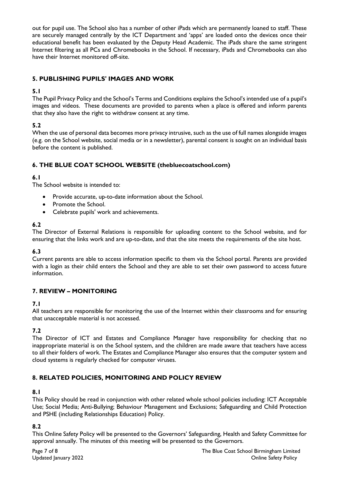out for pupil use. The School also has a number of other iPads which are permanently loaned to staff. These are securely managed centrally by the ICT Department and 'apps' are loaded onto the devices once their educational benefit has been evaluated by the Deputy Head Academic. The iPads share the same stringent Internet filtering as all PCs and Chromebooks in the School. If necessary, iPads and Chromebooks can also have their Internet monitored off-site.

## **5. PUBLISHING PUPILS' IMAGES AND WORK**

#### **5.1**

The Pupil Privacy Policy and the School's Terms and Conditions explains the School's intended use of a pupil's images and videos. These documents are provided to parents when a place is offered and inform parents that they also have the right to withdraw consent at any time.

## **5.2**

When the use of personal data becomes more privacy intrusive, such as the use of full names alongside images (e.g. on the School website, social media or in a newsletter), parental consent is sought on an individual basis before the content is published.

# **6. THE BLUE COAT SCHOOL WEBSITE (thebluecoatschool.com)**

## **6.1**

The School website is intended to:

- Provide accurate, up-to-date information about the School.
- Promote the School.
- Celebrate pupils' work and achievements.

## **6.2**

The Director of External Relations is responsible for uploading content to the School website, and for ensuring that the links work and are up-to-date, and that the site meets the requirements of the site host.

## **6.3**

Current parents are able to access information specific to them via the School portal. Parents are provided with a login as their child enters the School and they are able to set their own password to access future information.

## **7. REVIEW – MONITORING**

#### **7.1**

All teachers are responsible for monitoring the use of the Internet within their classrooms and for ensuring that unacceptable material is not accessed.

## **7.2**

The Director of ICT and Estates and Compliance Manager have responsibility for checking that no inappropriate material is on the School system, and the children are made aware that teachers have access to all their folders of work. The Estates and Compliance Manager also ensures that the computer system and cloud systems is regularly checked for computer viruses.

## **8. RELATED POLICIES, MONITORING AND POLICY REVIEW**

## **8.1**

This Policy should be read in conjunction with other related whole school policies including: ICT Acceptable Use; Social Media; Anti-Bullying; Behaviour Management and Exclusions; Safeguarding and Child Protection and PSHE (including Relationships Education) Policy.

## **8.2**

This Online Safety Policy will be presented to the Governors' Safeguarding, Health and Safety Committee for approval annually. The minutes of this meeting will be presented to the Governors.